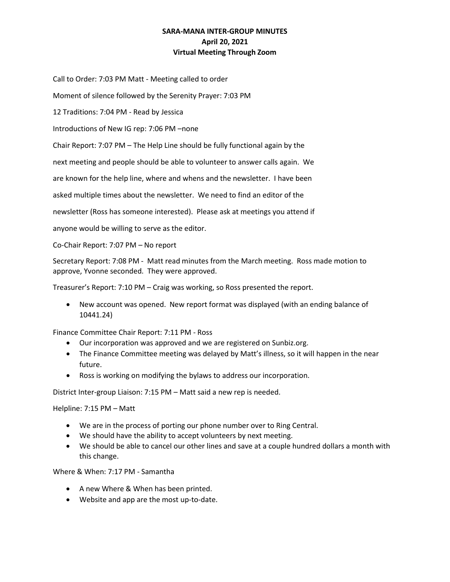## **SARA-MANA INTER-GROUP MINUTES April 20, 2021 Virtual Meeting Through Zoom**

Call to Order: 7:03 PM Matt - Meeting called to order

Moment of silence followed by the Serenity Prayer: 7:03 PM

12 Traditions: 7:04 PM - Read by Jessica

Introductions of New IG rep: 7:06 PM –none

Chair Report: 7:07 PM – The Help Line should be fully functional again by the

next meeting and people should be able to volunteer to answer calls again. We

are known for the help line, where and whens and the newsletter. I have been

asked multiple times about the newsletter. We need to find an editor of the

newsletter (Ross has someone interested). Please ask at meetings you attend if

anyone would be willing to serve as the editor.

Co-Chair Report: 7:07 PM – No report

Secretary Report: 7:08 PM - Matt read minutes from the March meeting. Ross made motion to approve, Yvonne seconded. They were approved.

Treasurer's Report: 7:10 PM – Craig was working, so Ross presented the report.

• New account was opened. New report format was displayed (with an ending balance of 10441.24)

Finance Committee Chair Report: 7:11 PM - Ross

- Our incorporation was approved and we are registered on Sunbiz.org.
- The Finance Committee meeting was delayed by Matt's illness, so it will happen in the near future.
- Ross is working on modifying the bylaws to address our incorporation.

District Inter-group Liaison: 7:15 PM – Matt said a new rep is needed.

Helpline: 7:15 PM – Matt

- We are in the process of porting our phone number over to Ring Central.
- We should have the ability to accept volunteers by next meeting.
- We should be able to cancel our other lines and save at a couple hundred dollars a month with this change.

Where & When: 7:17 PM - Samantha

- A new Where & When has been printed.
- Website and app are the most up-to-date.